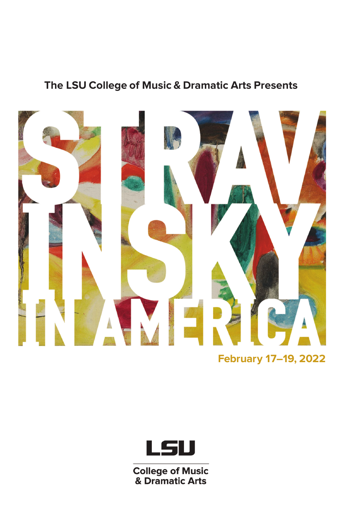# **The LSU College of Music & Dramatic Arts Presents**



**February 17–19, 2022**



**College of Music<br>& Dramatic Arts**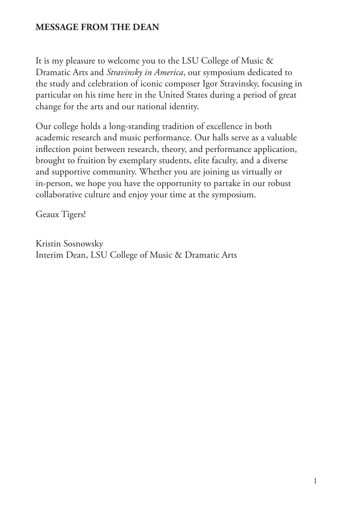## **MESSAGE FROM THE DEAN**

It is my pleasure to welcome you to the LSU College of Music & Dramatic Arts and *Stravinsky in America*, our symposium dedicated to the study and celebration of iconic composer Igor Stravinsky, focusing in particular on his time here in the United States during a period of great change for the arts and our national identity.

Our college holds a long-standing tradition of excellence in both academic research and music performance. Our halls serve as a valuable inflection point between research, theory, and performance application, brought to fruition by exemplary students, elite faculty, and a diverse and supportive community. Whether you are joining us virtually or in-person, we hope you have the opportunity to partake in our robust collaborative culture and enjoy your time at the symposium.

Geaux Tigers!

Kristin Sosnowsky Interim Dean, LSU College of Music & Dramatic Arts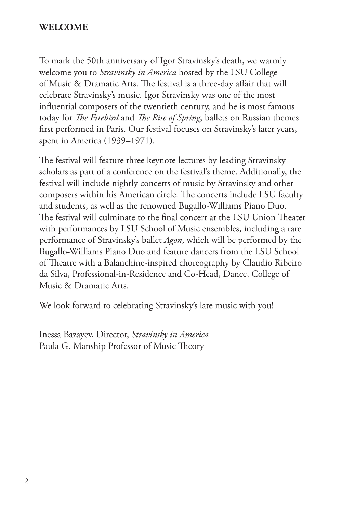### **WELCOME**

To mark the 50th anniversary of Igor Stravinsky's death, we warmly welcome you to *Stravinsky in America* hosted by the LSU College of Music & Dramatic Arts. The festival is a three-day affair that will celebrate Stravinsky's music. Igor Stravinsky was one of the most influential composers of the twentieth century, and he is most famous today for *The Firebird* and *The Rite of Spring*, ballets on Russian themes first performed in Paris. Our festival focuses on Stravinsky's later years, spent in America (1939–1971).

The festival will feature three keynote lectures by leading Stravinsky scholars as part of a conference on the festival's theme. Additionally, the festival will include nightly concerts of music by Stravinsky and other composers within his American circle. The concerts include LSU faculty and students, as well as the renowned Bugallo-Williams Piano Duo. The festival will culminate to the final concert at the LSU Union Theater with performances by LSU School of Music ensembles, including a rare performance of Stravinsky's ballet *Agon*, which will be performed by the Bugallo-Williams Piano Duo and feature dancers from the LSU School of Theatre with a Balanchine-inspired choreography by Claudio Ribeiro da Silva, Professional-in-Residence and Co-Head, Dance, College of Music & Dramatic Arts.

We look forward to celebrating Stravinsky's late music with you!

Inessa Bazayev, Director, *Stravinsky in America* Paula G. Manship Professor of Music Theory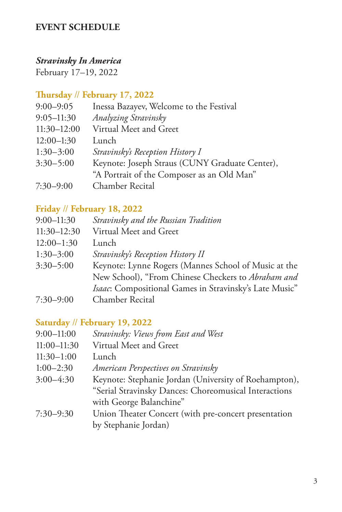## **EVENT SCHEDULE**

### *Stravinsky In America*

February 17–19, 2022

## **Thursday** // **February 17, 2022**

| $9:00 - 9:05$   | Inessa Bazayev, Welcome to the Festival        |
|-----------------|------------------------------------------------|
| $9:05 - 11:30$  | Analyzing Stravinsky                           |
| $11:30 - 12:00$ | Virtual Meet and Greet                         |
| $12:00-1:30$    | Lunch                                          |
| $1:30-3:00$     | Stravinsky's Reception History I               |
| $3:30 - 5:00$   | Keynote: Joseph Straus (CUNY Graduate Center), |
|                 | "A Portrait of the Composer as an Old Man"     |
| $7:30 - 9:00$   | Chamber Recital                                |
|                 |                                                |

### **Friday** // **February 18, 2022**

| $9:00 - 11:30$ | Stravinsky and the Russian Tradition                   |
|----------------|--------------------------------------------------------|
| $11:30-12:30$  | Virtual Meet and Greet                                 |
| $12:00-1:30$   | Lunch                                                  |
| $1:30 - 3:00$  | Stravinsky's Reception History II                      |
| $3:30 - 5:00$  | Keynote: Lynne Rogers (Mannes School of Music at the   |
|                | New School), "From Chinese Checkers to Abraham and     |
|                | Isaac: Compositional Games in Stravinsky's Late Music" |
| $7:30 - 9:00$  | Chamber Recital                                        |

## **Saturday** // **February 19, 2022**

| $9:00 - 11:00$  | Stravinsky: Views from East and West                  |
|-----------------|-------------------------------------------------------|
| $11:00 - 11:30$ | Virtual Meet and Greet                                |
| $11:30-1:00$    | Lunch                                                 |
| $1:00-2:30$     | American Perspectives on Stravinsky                   |
| $3:00-4:30$     | Keynote: Stephanie Jordan (University of Roehampton), |
|                 | "Serial Stravinsky Dances: Choreomusical Interactions |
|                 | with George Balanchine"                               |
| $7:30 - 9:30$   | Union Theater Concert (with pre-concert presentation  |
|                 | by Stephanie Jordan)                                  |
|                 |                                                       |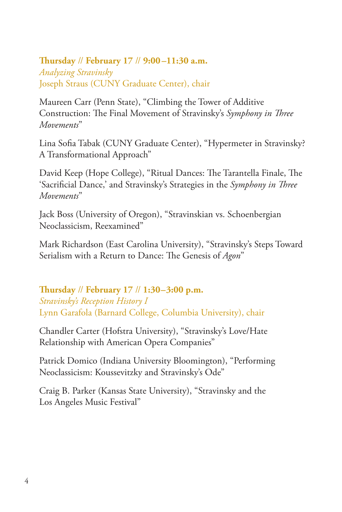## **Thursday** // **February 17** // **9:00 –11:30 a.m.** *Analyzing Stravinsky* Joseph Straus (CUNY Graduate Center), chair

Maureen Carr (Penn State), "Climbing the Tower of Additive Construction: The Final Movement of Stravinsky's *Symphony in Three Movements*"

Lina Sofia Tabak (CUNY Graduate Center), "Hypermeter in Stravinsky? A Transformational Approach"

David Keep (Hope College), "Ritual Dances: The Tarantella Finale, The 'Sacrificial Dance,' and Stravinsky's Strategies in the *Symphony in Three Movements*"

Jack Boss (University of Oregon), "Stravinskian vs. Schoenbergian Neoclassicism, Reexamined"

Mark Richardson (East Carolina University), "Stravinsky's Steps Toward Serialism with a Return to Dance: The Genesis of *Agon*"

#### **Thursday** // **February 17** // **1:30–3:00 p.m.** *Stravinsky's Reception History I* Lynn Garafola (Barnard College, Columbia University), chair

Chandler Carter (Hofstra University), "Stravinsky's Love/Hate Relationship with American Opera Companies"

Patrick Domico (Indiana University Bloomington), "Performing Neoclassicism: Koussevitzky and Stravinsky's Ode"

Craig B. Parker (Kansas State University), "Stravinsky and the Los Angeles Music Festival"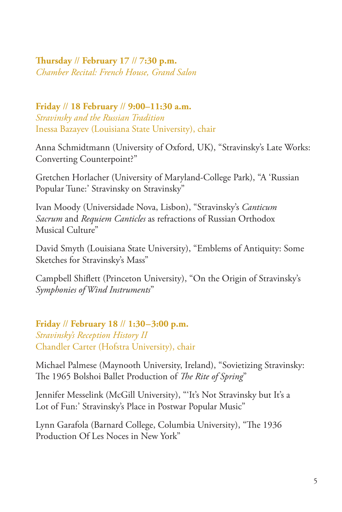**Thursday** // **February 17** // **7:30 p.m.** *Chamber Recital: French House, Grand Salon*

**Friday** // **18 February** // **9:00–11:30 a.m.** *Stravinsky and the Russian Tradition* Inessa Bazayev (Louisiana State University), chair

Anna Schmidtmann (University of Oxford, UK), "Stravinsky's Late Works: Converting Counterpoint?"

Gretchen Horlacher (University of Maryland-College Park), "A 'Russian Popular Tune:' Stravinsky on Stravinsky"

Ivan Moody (Universidade Nova, Lisbon), "Stravinsky's *Canticum Sacrum* and *Requiem Canticles* as refractions of Russian Orthodox Musical Culture"

David Smyth (Louisiana State University), "Emblems of Antiquity: Some Sketches for Stravinsky's Mass"

Campbell Shiflett (Princeton University), "On the Origin of Stravinsky's *Symphonies of Wind Instruments*"

**Friday** // **February 18** // **1:30–3:00 p.m.** *Stravinsky's Reception History II* Chandler Carter (Hofstra University), chair

Michael Palmese (Maynooth University, Ireland), "Sovietizing Stravinsky: The 1965 Bolshoi Ballet Production of *The Rite of Spring*"

Jennifer Messelink (McGill University), "'It's Not Stravinsky but It's a Lot of Fun:' Stravinsky's Place in Postwar Popular Music"

Lynn Garafola (Barnard College, Columbia University), "The 1936 Production Of Les Noces in New York"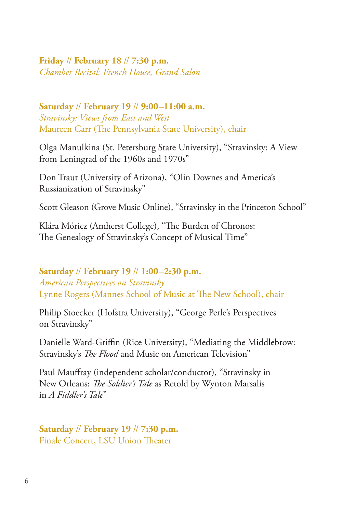### **Friday** // **February 18** // **7:30 p.m.** *Chamber Recital: French House, Grand Salon*

**Saturday** // **February 19** // **9:00–11:00 a.m.** *Stravinsky: Views from East and West* Maureen Carr (The Pennsylvania State University), chair

Olga Manulkina (St. Petersburg State University), "Stravinsky: A View from Leningrad of the 1960s and 1970s"

Don Traut (University of Arizona), "Olin Downes and America's Russianization of Stravinsky"

Scott Gleason (Grove Music Online), "Stravinsky in the Princeton School"

Klára Móricz (Amherst College), "The Burden of Chronos: The Genealogy of Stravinsky's Concept of Musical Time"

**Saturday** // **February 19** // **1:00–2:30 p.m.** *American Perspectives on Stravinsky* Lynne Rogers (Mannes School of Music at The New School), chair

Philip Stoecker (Hofstra University), "George Perle's Perspectives on Stravinsky"

Danielle Ward-Griffin (Rice University), "Mediating the Middlebrow: Stravinsky's *The Flood* and Music on American Television"

Paul Mauffray (independent scholar/conductor), "Stravinsky in New Orleans: *The Soldier's Tale* as Retold by Wynton Marsalis in *A Fiddler's Tale*"

**Saturday** // **February 19** // **7:30 p.m.** Finale Concert, LSU Union Theater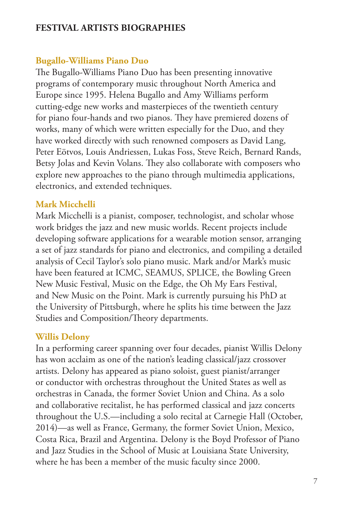## **FESTIVAL ARTISTS BIOGRAPHIES**

## **Bugallo-Williams Piano Duo**

The Bugallo-Williams Piano Duo has been presenting innovative programs of contemporary music throughout North America and Europe since 1995. Helena Bugallo and Amy Williams perform cutting-edge new works and masterpieces of the twentieth century for piano four-hands and two pianos. They have premiered dozens of works, many of which were written especially for the Duo, and they have worked directly with such renowned composers as David Lang, Peter Eötvos, Louis Andriessen, Lukas Foss, Steve Reich, Bernard Rands, Betsy Jolas and Kevin Volans. They also collaborate with composers who explore new approaches to the piano through multimedia applications, electronics, and extended techniques.

## **Mark Micchelli**

Mark Micchelli is a pianist, composer, technologist, and scholar whose work bridges the jazz and new music worlds. Recent projects include developing software applications for a wearable motion sensor, arranging a set of jazz standards for piano and electronics, and compiling a detailed analysis of Cecil Taylor's solo piano music. Mark and/or Mark's music have been featured at ICMC, SEAMUS, SPLICE, the Bowling Green New Music Festival, Music on the Edge, the Oh My Ears Festival, and New Music on the Point. Mark is currently pursuing his PhD at the University of Pittsburgh, where he splits his time between the Jazz Studies and Composition/Theory departments.

## **Willis Delony**

In a performing career spanning over four decades, pianist Willis Delony has won acclaim as one of the nation's leading classical/jazz crossover artists. Delony has appeared as piano soloist, guest pianist/arranger or conductor with orchestras throughout the United States as well as orchestras in Canada, the former Soviet Union and China. As a solo and collaborative recitalist, he has performed classical and jazz concerts throughout the U.S.—including a solo recital at Carnegie Hall (October, 2014)—as well as France, Germany, the former Soviet Union, Mexico, Costa Rica, Brazil and Argentina. Delony is the Boyd Professor of Piano and Jazz Studies in the School of Music at Louisiana State University, where he has been a member of the music faculty since 2000.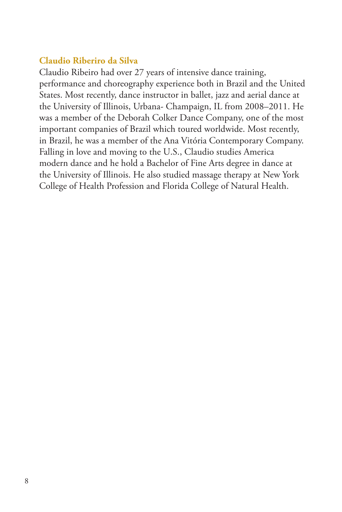## **Claudio Riberiro da Silva**

Claudio Ribeiro had over 27 years of intensive dance training, performance and choreography experience both in Brazil and the United States. Most recently, dance instructor in ballet, jazz and aerial dance at the University of Illinois, Urbana- Champaign, IL from 2008–2011. He was a member of the Deborah Colker Dance Company, one of the most important companies of Brazil which toured worldwide. Most recently, in Brazil, he was a member of the Ana Vitória Contemporary Company. Falling in love and moving to the U.S., Claudio studies America modern dance and he hold a Bachelor of Fine Arts degree in dance at the University of Illinois. He also studied massage therapy at New York College of Health Profession and Florida College of Natural Health.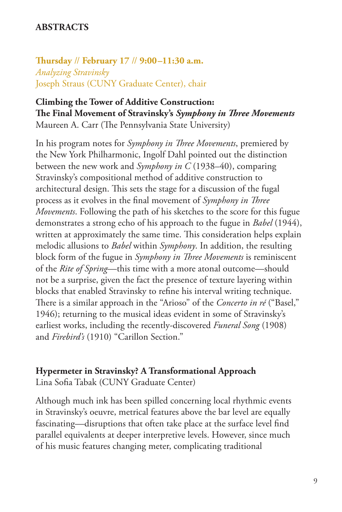### **ABSTRACTS**

**Thursday** // **February 17** // **9:00–11:30 a.m.** *Analyzing Stravinsky* Joseph Straus (CUNY Graduate Center), chair

## **Climbing the Tower of Additive Construction: The Final Movement of Stravinsky's** *Symphony in Three Movements*

Maureen A. Carr (The Pennsylvania State University)

In his program notes for *Symphony in Three Movements*, premiered by the New York Philharmonic, Ingolf Dahl pointed out the distinction between the new work and *Symphony in C* (1938–40), comparing Stravinsky's compositional method of additive construction to architectural design. This sets the stage for a discussion of the fugal process as it evolves in the final movement of *Symphony in Three Movements*. Following the path of his sketches to the score for this fugue demonstrates a strong echo of his approach to the fugue in *Babel* (1944), written at approximately the same time. This consideration helps explain melodic allusions to *Babel* within *Symphony*. In addition, the resulting block form of the fugue in *Symphony in Three Movements* is reminiscent of the *Rite of Spring*—this time with a more atonal outcome—should not be a surprise, given the fact the presence of texture layering within blocks that enabled Stravinsky to refine his interval writing technique. There is a similar approach in the "Arioso" of the *Concerto in ré* ("Basel," 1946); returning to the musical ideas evident in some of Stravinsky's earliest works, including the recently-discovered *Funeral Song* (1908) and *Firebird's* (1910) "Carillon Section."

#### **Hypermeter in Stravinsky? A Transformational Approach**

Lina Sofia Tabak (CUNY Graduate Center)

Although much ink has been spilled concerning local rhythmic events in Stravinsky's oeuvre, metrical features above the bar level are equally fascinating—disruptions that often take place at the surface level find parallel equivalents at deeper interpretive levels. However, since much of his music features changing meter, complicating traditional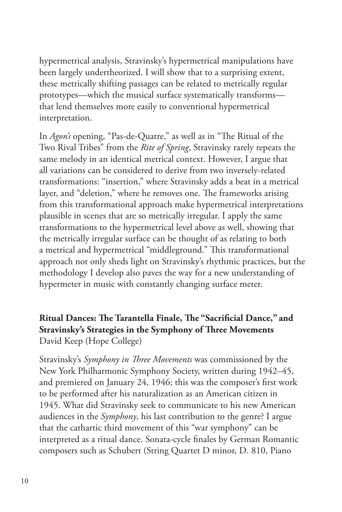hypermetrical analysis, Stravinsky's hypermetrical manipulations have been largely undertheorized. I will show that to a surprising extent, these metrically shifting passages can be related to metrically regular prototypes—which the musical surface systematically transforms that lend themselves more easily to conventional hypermetrical interpretation.

In *Agon's* opening, "Pas-de-Quatre," as well as in "The Ritual of the Two Rival Tribes" from the *Rite of Spring*, Stravinsky rarely repeats the same melody in an identical metrical context. However, I argue that all variations can be considered to derive from two inversely-related transformations: "insertion," where Stravinsky adds a beat in a metrical layer, and "deletion," where he removes one. The frameworks arising from this transformational approach make hypermetrical interpretations plausible in scenes that are so metrically irregular. I apply the same transformations to the hypermetrical level above as well, showing that the metrically irregular surface can be thought of as relating to both a metrical and hypermetrical "middleground." This transformational approach not only sheds light on Stravinsky's rhythmic practices, but the methodology I develop also paves the way for a new understanding of hypermeter in music with constantly changing surface meter.

## **Ritual Dances: The Tarantella Finale, The "Sacrificial Dance," and Stravinsky's Strategies in the Symphony of Three Movements** David Keep (Hope College)

Stravinsky's *Symphony in Three Movements* was commissioned by the New York Philharmonic Symphony Society, written during 1942–45, and premiered on January 24, 1946; this was the composer's first work to be performed after his naturalization as an American citizen in 1945. What did Stravinsky seek to communicate to his new American audiences in the *Symphony*, his last contribution to the genre? I argue that the cathartic third movement of this "war symphony" can be interpreted as a ritual dance. Sonata-cycle finales by German Romantic composers such as Schubert (String Quartet D minor, D. 810, Piano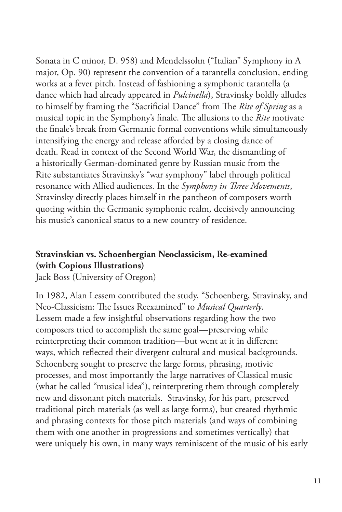Sonata in C minor, D. 958) and Mendelssohn ("Italian" Symphony in A major, Op. 90) represent the convention of a tarantella conclusion, ending works at a fever pitch. Instead of fashioning a symphonic tarantella (a dance which had already appeared in *Pulcinella*), Stravinsky boldly alludes to himself by framing the "Sacrificial Dance" from The *Rite of Spring* as a musical topic in the Symphony's finale. The allusions to the *Rite* motivate the finale's break from Germanic formal conventions while simultaneously intensifying the energy and release afforded by a closing dance of death. Read in context of the Second World War, the dismantling of a historically German-dominated genre by Russian music from the Rite substantiates Stravinsky's "war symphony" label through political resonance with Allied audiences. In the *Symphony in Three Movements*, Stravinsky directly places himself in the pantheon of composers worth quoting within the Germanic symphonic realm, decisively announcing his music's canonical status to a new country of residence.

## **Stravinskian vs. Schoenbergian Neoclassicism, Re-examined (with Copious Illustrations)**

Jack Boss (University of Oregon)

In 1982, Alan Lessem contributed the study, "Schoenberg, Stravinsky, and Neo-Classicism: The Issues Reexamined" to *Musical Quarterly*. Lessem made a few insightful observations regarding how the two composers tried to accomplish the same goal—preserving while reinterpreting their common tradition—but went at it in different ways, which reflected their divergent cultural and musical backgrounds. Schoenberg sought to preserve the large forms, phrasing, motivic processes, and most importantly the large narratives of Classical music (what he called "musical idea"), reinterpreting them through completely new and dissonant pitch materials. Stravinsky, for his part, preserved traditional pitch materials (as well as large forms), but created rhythmic and phrasing contexts for those pitch materials (and ways of combining them with one another in progressions and sometimes vertically) that were uniquely his own, in many ways reminiscent of the music of his early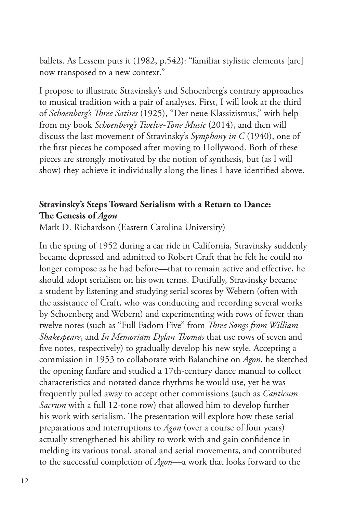ballets. As Lessem puts it (1982, p.542): "familiar stylistic elements [are] now transposed to a new context."

I propose to illustrate Stravinsky's and Schoenberg's contrary approaches to musical tradition with a pair of analyses. First, I will look at the third of *Schoenberg's Three Satires* (1925), "Der neue Klassizismus," with help from my book *Schoenberg's Twelve-Tone Music* (2014), and then will discuss the last movement of Stravinsky's *Symphony in C* (1940), one of the first pieces he composed after moving to Hollywood. Both of these pieces are strongly motivated by the notion of synthesis, but (as I will show) they achieve it individually along the lines I have identified above.

## **Stravinsky's Steps Toward Serialism with a Return to Dance: The Genesis of** *Agon*

Mark D. Richardson (Eastern Carolina University)

In the spring of 1952 during a car ride in California, Stravinsky suddenly became depressed and admitted to Robert Craft that he felt he could no longer compose as he had before—that to remain active and effective, he should adopt serialism on his own terms. Dutifully, Stravinsky became a student by listening and studying serial scores by Webern (often with the assistance of Craft, who was conducting and recording several works by Schoenberg and Webern) and experimenting with rows of fewer than twelve notes (such as "Full Fadom Five" from *Three Songs from William Shakespeare*, and *In Memoriam Dylan Thomas* that use rows of seven and five notes, respectively) to gradually develop his new style. Accepting a commission in 1953 to collaborate with Balanchine on *Agon*, he sketched the opening fanfare and studied a 17th-century dance manual to collect characteristics and notated dance rhythms he would use, yet he was frequently pulled away to accept other commissions (such as *Canticum Sacrum* with a full 12-tone row) that allowed him to develop further his work with serialism. The presentation will explore how these serial preparations and interruptions to *Agon* (over a course of four years) actually strengthened his ability to work with and gain confidence in melding its various tonal, atonal and serial movements, and contributed to the successful completion of *Agon*—a work that looks forward to the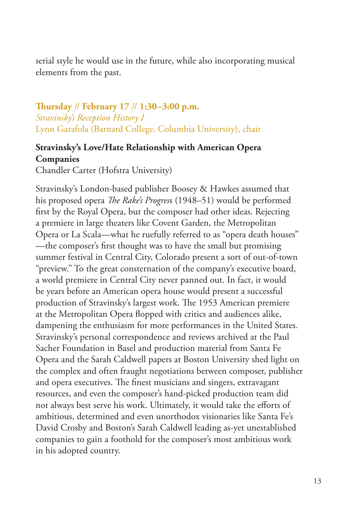serial style he would use in the future, while also incorporating musical elements from the past.

## **Thursday** // **February 17** // **1:30–3:00 p.m.** *Stravinsky's Reception History I* Lynn Garafola (Barnard College, Columbia University), chair

## **Stravinsky's Love/Hate Relationship with American Opera Companies**

Chandler Carter (Hofstra University)

Stravinsky's London-based publisher Boosey & Hawkes assumed that his proposed opera *The Rake's Progres*s (1948–51) would be performed first by the Royal Opera, but the composer had other ideas. Rejecting a premiere in large theaters like Covent Garden, the Metropolitan Opera or La Scala—what he ruefully referred to as "opera death houses" —the composer's first thought was to have the small but promising summer festival in Central City, Colorado present a sort of out-of-town "preview." To the great consternation of the company's executive board, a world premiere in Central City never panned out. In fact, it would be years before an American opera house would present a successful production of Stravinsky's largest work. The 1953 American premiere at the Metropolitan Opera flopped with critics and audiences alike, dampening the enthusiasm for more performances in the United States. Stravinsky's personal correspondence and reviews archived at the Paul Sacher Foundation in Basel and production material from Santa Fe Opera and the Sarah Caldwell papers at Boston University shed light on the complex and often fraught negotiations between composer, publisher and opera executives. The finest musicians and singers, extravagant resources, and even the composer's hand-picked production team did not always best serve his work. Ultimately, it would take the efforts of ambitious, determined and even unorthodox visionaries like Santa Fe's David Crosby and Boston's Sarah Caldwell leading as-yet unestablished companies to gain a foothold for the composer's most ambitious work in his adopted country.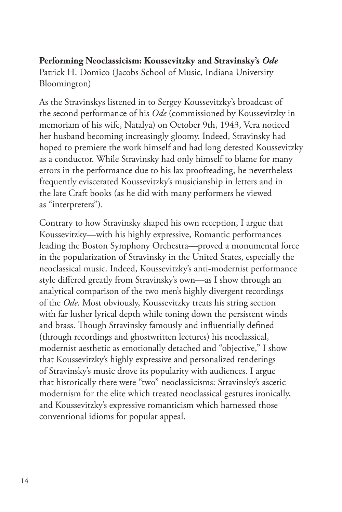### **Performing Neoclassicism: Koussevitzky and Stravinsky's** *Ode* Patrick H. Domico (Jacobs School of Music, Indiana University

Bloomington)

As the Stravinskys listened in to Sergey Koussevitzky's broadcast of the second performance of his *Ode* (commissioned by Koussevitzky in memoriam of his wife, Natalya) on October 9th, 1943, Vera noticed her husband becoming increasingly gloomy. Indeed, Stravinsky had hoped to premiere the work himself and had long detested Koussevitzky as a conductor. While Stravinsky had only himself to blame for many errors in the performance due to his lax proofreading, he nevertheless frequently eviscerated Koussevitzky's musicianship in letters and in the late Craft books (as he did with many performers he viewed as "interpreters").

Contrary to how Stravinsky shaped his own reception, I argue that Koussevitzky—with his highly expressive, Romantic performances leading the Boston Symphony Orchestra—proved a monumental force in the popularization of Stravinsky in the United States, especially the neoclassical music. Indeed, Koussevitzky's anti-modernist performance style differed greatly from Stravinsky's own—as I show through an analytical comparison of the two men's highly divergent recordings of the *Ode*. Most obviously, Koussevitzky treats his string section with far lusher lyrical depth while toning down the persistent winds and brass. Though Stravinsky famously and influentially defined (through recordings and ghostwritten lectures) his neoclassical, modernist aesthetic as emotionally detached and "objective," I show that Koussevitzky's highly expressive and personalized renderings of Stravinsky's music drove its popularity with audiences. I argue that historically there were "two" neoclassicisms: Stravinsky's ascetic modernism for the elite which treated neoclassical gestures ironically, and Koussevitzky's expressive romanticism which harnessed those conventional idioms for popular appeal.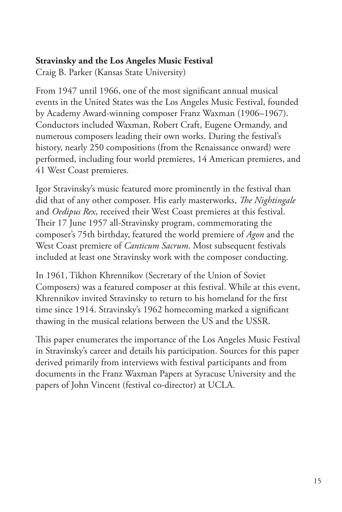## **Stravinsky and the Los Angeles Music Festival**

Craig B. Parker (Kansas State University)

From 1947 until 1966, one of the most significant annual musical events in the United States was the Los Angeles Music Festival, founded by Academy Award-winning composer Franz Waxman (1906–1967). Conductors included Waxman, Robert Craft, Eugene Ormandy, and numerous composers leading their own works. During the festival's history, nearly 250 compositions (from the Renaissance onward) were performed, including four world premieres, 14 American premieres, and 41 West Coast premieres.

Igor Stravinsky's music featured more prominently in the festival than did that of any other composer. His early masterworks, *The Nightingale* and *Oedipus Rex*, received their West Coast premieres at this festival. Their 17 June 1957 all-Stravinsky program, commemorating the composer's 75th birthday, featured the world premiere of *Agon* and the West Coast premiere of *Canticum Sacrum*. Most subsequent festivals included at least one Stravinsky work with the composer conducting.

In 1961, Tikhon Khrennikov (Secretary of the Union of Soviet Composers) was a featured composer at this festival. While at this event, Khrennikov invited Stravinsky to return to his homeland for the first time since 1914. Stravinsky's 1962 homecoming marked a significant thawing in the musical relations between the US and the USSR.

This paper enumerates the importance of the Los Angeles Music Festival in Stravinsky's career and details his participation. Sources for this paper derived primarily from interviews with festival participants and from documents in the Franz Waxman Papers at Syracuse University and the papers of John Vincent (festival co-director) at UCLA.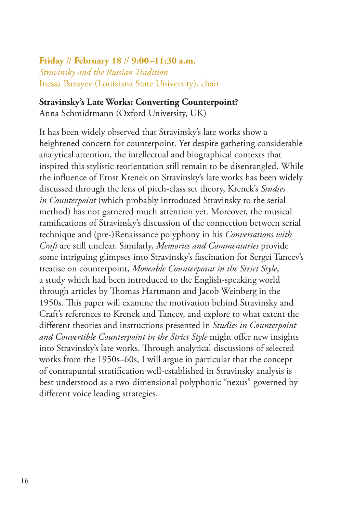**Friday** // **February 18** // **9:00–11:30 a.m.** *Stravinsky and the Russian Tradition* Inessa Bazayev (Louisiana State University), chair

#### **Stravinsky's Late Works: Converting Counterpoint?**

Anna Schmidtmann (Oxford University, UK)

It has been widely observed that Stravinsky's late works show a heightened concern for counterpoint. Yet despite gathering considerable analytical attention, the intellectual and biographical contexts that inspired this stylistic reorientation still remain to be disentangled. While the influence of Ernst Krenek on Stravinsky's late works has been widely discussed through the lens of pitch-class set theory, Krenek's *Studies in Counterpoint* (which probably introduced Stravinsky to the serial method) has not garnered much attention yet. Moreover, the musical ramifications of Stravinsky's discussion of the connection between serial technique and (pre-)Renaissance polyphony in his *Conversations with Craft* are still unclear. Similarly, *Memories and Commentaries* provide some intriguing glimpses into Stravinsky's fascination for Sergei Taneev's treatise on counterpoint, *Moveable Counterpoint in the Strict Style*, a study which had been introduced to the English-speaking world through articles by Thomas Hartmann and Jacob Weinberg in the 1950s. This paper will examine the motivation behind Stravinsky and Craft's references to Krenek and Taneev, and explore to what extent the different theories and instructions presented in *Studies in Counterpoint and Convertible Counterpoint in the Strict Style* might offer new insights into Stravinsky's late works. Through analytical discussions of selected works from the 1950s–60s, I will argue in particular that the concept of contrapuntal stratification well-established in Stravinsky analysis is best understood as a two-dimensional polyphonic "nexus" governed by different voice leading strategies.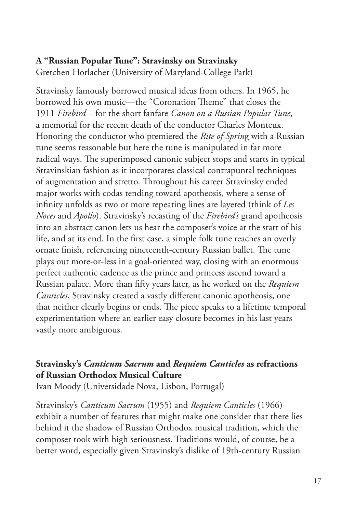#### **A "Russian Popular Tune": Stravinsky on Stravinsky**  Gretchen Horlacher (University of Maryland-College Park)

Stravinsky famously borrowed musical ideas from others. In 1965, he borrowed his own music—the "Coronation Theme" that closes the 1911 *Firebird*—for the short fanfare *Canon on a Russian Popular Tune*, a memorial for the recent death of the conductor Charles Monteux. Honoring the conductor who premiered the *Rite of Sprin*g with a Russian tune seems reasonable but here the tune is manipulated in far more radical ways. The superimposed canonic subject stops and starts in typical Stravinskian fashion as it incorporates classical contrapuntal techniques of augmentation and stretto. Throughout his career Stravinsky ended major works with codas tending toward apotheosis, where a sense of infinity unfolds as two or more repeating lines are layered (think of *Les Noces* and *Apollo*). Stravinsky's recasting of the *Firebird's* grand apotheosis into an abstract canon lets us hear the composer's voice at the start of his life, and at its end. In the first case, a simple folk tune reaches an overly ornate finish, referencing nineteenth-century Russian ballet. The tune plays out more-or-less in a goal-oriented way, closing with an enormous perfect authentic cadence as the prince and princess ascend toward a Russian palace. More than fifty years later, as he worked on the *Requiem Canticles*, Stravinsky created a vastly different canonic apotheosis, one that neither clearly begins or ends. The piece speaks to a lifetime temporal experimentation where an earlier easy closure becomes in his last years vastly more ambiguous.

## **Stravinsky's** *Canticum Sacrum* **and** *Requiem Canticles* **as refractions of Russian Orthodox Musical Culture**

Ivan Moody (Universidade Nova, Lisbon, Portugal)

Stravinsky's *Canticum Sacrum* (1955) and *Requiem Canticles* (1966) exhibit a number of features that might make one consider that there lies behind it the shadow of Russian Orthodox musical tradition, which the composer took with high seriousness. Traditions would, of course, be a better word, especially given Stravinsky's dislike of 19th-century Russian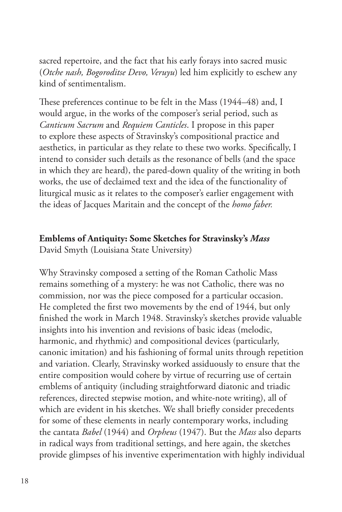sacred repertoire, and the fact that his early forays into sacred music (*Otche nash, Bogoroditse Devo, Veruyu*) led him explicitly to eschew any kind of sentimentalism.

These preferences continue to be felt in the Mass (1944–48) and, I would argue, in the works of the composer's serial period, such as *Canticum Sacrum* and *Requiem Canticles*. I propose in this paper to explore these aspects of Stravinsky's compositional practice and aesthetics, in particular as they relate to these two works. Specifically, I intend to consider such details as the resonance of bells (and the space in which they are heard), the pared-down quality of the writing in both works, the use of declaimed text and the idea of the functionality of liturgical music as it relates to the composer's earlier engagement with the ideas of Jacques Maritain and the concept of the *homo faber.* 

#### **Emblems of Antiquity: Some Sketches for Stravinsky's** *Mass*

David Smyth (Louisiana State University)

Why Stravinsky composed a setting of the Roman Catholic Mass remains something of a mystery: he was not Catholic, there was no commission, nor was the piece composed for a particular occasion. He completed the first two movements by the end of 1944, but only finished the work in March 1948. Stravinsky's sketches provide valuable insights into his invention and revisions of basic ideas (melodic, harmonic, and rhythmic) and compositional devices (particularly, canonic imitation) and his fashioning of formal units through repetition and variation. Clearly, Stravinsky worked assiduously to ensure that the entire composition would cohere by virtue of recurring use of certain emblems of antiquity (including straightforward diatonic and triadic references, directed stepwise motion, and white-note writing), all of which are evident in his sketches. We shall briefly consider precedents for some of these elements in nearly contemporary works, including the cantata *Babel* (1944) and *Orpheus* (1947). But the *Mass* also departs in radical ways from traditional settings, and here again, the sketches provide glimpses of his inventive experimentation with highly individual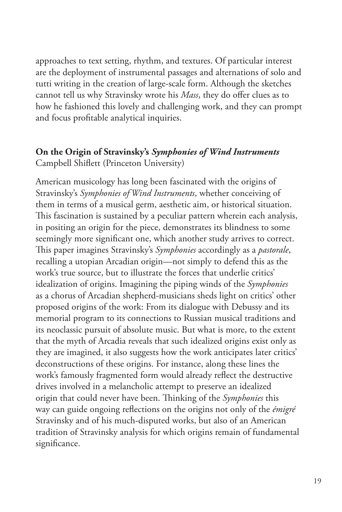approaches to text setting, rhythm, and textures. Of particular interest are the deployment of instrumental passages and alternations of solo and tutti writing in the creation of large-scale form. Although the sketches cannot tell us why Stravinsky wrote his *Mass*, they do offer clues as to how he fashioned this lovely and challenging work, and they can prompt and focus profitable analytical inquiries.

### **On the Origin of Stravinsky's** *Symphonies of Wind Instruments* Campbell Shiflett (Princeton University)

American musicology has long been fascinated with the origins of Stravinsky's *Symphonies of Wind Instruments*, whether conceiving of them in terms of a musical germ, aesthetic aim, or historical situation. This fascination is sustained by a peculiar pattern wherein each analysis, in positing an origin for the piece, demonstrates its blindness to some seemingly more significant one, which another study arrives to correct. This paper imagines Stravinsky's *Symphonies* accordingly as a *pastorale*, recalling a utopian Arcadian origin—not simply to defend this as the work's true source, but to illustrate the forces that underlie critics' idealization of origins. Imagining the piping winds of the *Symphonies* as a chorus of Arcadian shepherd-musicians sheds light on critics' other proposed origins of the work: From its dialogue with Debussy and its memorial program to its connections to Russian musical traditions and its neoclassic pursuit of absolute music. But what is more, to the extent that the myth of Arcadia reveals that such idealized origins exist only as they are imagined, it also suggests how the work anticipates later critics' deconstructions of these origins. For instance, along these lines the work's famously fragmented form would already reflect the destructive drives involved in a melancholic attempt to preserve an idealized origin that could never have been. Thinking of the *Symphonies* this way can guide ongoing reflections on the origins not only of the *émigré* Stravinsky and of his much-disputed works, but also of an American tradition of Stravinsky analysis for which origins remain of fundamental significance.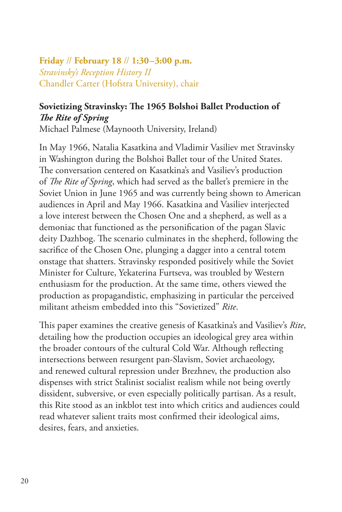**Friday** // **February 18** // **1:30–3:00 p.m.** *Stravinsky's Reception History II* Chandler Carter (Hofstra University), chair

## **Sovietizing Stravinsky: The 1965 Bolshoi Ballet Production of**  *The Rite of Spring*

Michael Palmese (Maynooth University, Ireland)

In May 1966, Natalia Kasatkina and Vladimir Vasiliev met Stravinsky in Washington during the Bolshoi Ballet tour of the United States. The conversation centered on Kasatkina's and Vasiliev's production of *The Rite of Spring*, which had served as the ballet's premiere in the Soviet Union in June 1965 and was currently being shown to American audiences in April and May 1966. Kasatkina and Vasiliev interjected a love interest between the Chosen One and a shepherd, as well as a demoniac that functioned as the personification of the pagan Slavic deity Dazhbog. The scenario culminates in the shepherd, following the sacrifice of the Chosen One, plunging a dagger into a central totem onstage that shatters. Stravinsky responded positively while the Soviet Minister for Culture, Yekaterina Furtseva, was troubled by Western enthusiasm for the production. At the same time, others viewed the production as propagandistic, emphasizing in particular the perceived militant atheism embedded into this "Sovietized" *Rite*.

This paper examines the creative genesis of Kasatkina's and Vasiliev's *Rite*, detailing how the production occupies an ideological grey area within the broader contours of the cultural Cold War. Although reflecting intersections between resurgent pan-Slavism, Soviet archaeology, and renewed cultural repression under Brezhnev, the production also dispenses with strict Stalinist socialist realism while not being overtly dissident, subversive, or even especially politically partisan. As a result, this Rite stood as an inkblot test into which critics and audiences could read whatever salient traits most confirmed their ideological aims, desires, fears, and anxieties.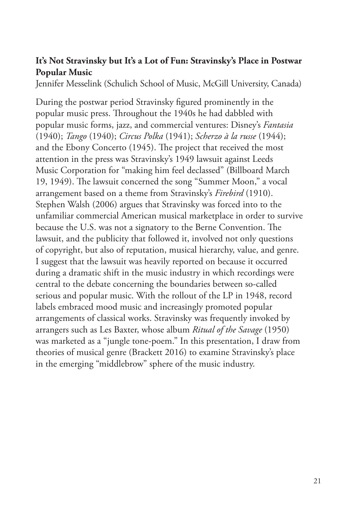## **It's Not Stravinsky but It's a Lot of Fun: Stravinsky's Place in Postwar Popular Music**

Jennifer Messelink (Schulich School of Music, McGill University, Canada)

During the postwar period Stravinsky figured prominently in the popular music press. Throughout the 1940s he had dabbled with popular music forms, jazz, and commercial ventures: Disney's *Fantasia* (1940); *Tango* (1940); *Circus Polka* (1941); *Scherzo à la russe* (1944); and the Ebony Concerto (1945). The project that received the most attention in the press was Stravinsky's 1949 lawsuit against Leeds Music Corporation for "making him feel declassed" (Billboard March 19, 1949). The lawsuit concerned the song "Summer Moon," a vocal arrangement based on a theme from Stravinsky's *Firebird* (1910). Stephen Walsh (2006) argues that Stravinsky was forced into to the unfamiliar commercial American musical marketplace in order to survive because the U.S. was not a signatory to the Berne Convention. The lawsuit, and the publicity that followed it, involved not only questions of copyright, but also of reputation, musical hierarchy, value, and genre. I suggest that the lawsuit was heavily reported on because it occurred during a dramatic shift in the music industry in which recordings were central to the debate concerning the boundaries between so-called serious and popular music. With the rollout of the LP in 1948, record labels embraced mood music and increasingly promoted popular arrangements of classical works. Stravinsky was frequently invoked by arrangers such as Les Baxter, whose album *Ritual of the Savage* (1950) was marketed as a "jungle tone-poem." In this presentation, I draw from theories of musical genre (Brackett 2016) to examine Stravinsky's place in the emerging "middlebrow" sphere of the music industry.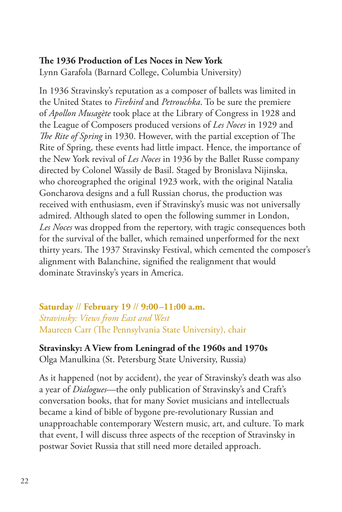## **The 1936 Production of Les Noces in New York**

Lynn Garafola (Barnard College, Columbia University)

In 1936 Stravinsky's reputation as a composer of ballets was limited in the United States to *Firebird* and *Petrouchka*. To be sure the premiere of *Apollon Musagète* took place at the Library of Congress in 1928 and the League of Composers produced versions of *Les Noces* in 1929 and *The Rite of Spring* in 1930. However, with the partial exception of The Rite of Spring, these events had little impact. Hence, the importance of the New York revival of *Les Noces* in 1936 by the Ballet Russe company directed by Colonel Wassily de Basil. Staged by Bronislava Nijinska, who choreographed the original 1923 work, with the original Natalia Goncharova designs and a full Russian chorus, the production was received with enthusiasm, even if Stravinsky's music was not universally admired. Although slated to open the following summer in London, *Les Noces* was dropped from the repertory, with tragic consequences both for the survival of the ballet, which remained unperformed for the next thirty years. The 1937 Stravinsky Festival, which cemented the composer's alignment with Balanchine, signified the realignment that would dominate Stravinsky's years in America.

**Saturday** // **February 19** // **9:00–11:00 a.m.** *Stravinsky: Views from East and West* Maureen Carr (The Pennsylvania State University), chair

**Stravinsky: A View from Leningrad of the 1960s and 1970s** Olga Manulkina (St. Petersburg State University, Russia)

As it happened (not by accident), the year of Stravinsky's death was also a year of *Dialogues*—the only publication of Stravinsky's and Craft's conversation books, that for many Soviet musicians and intellectuals became a kind of bible of bygone pre-revolutionary Russian and unapproachable contemporary Western music, art, and culture. To mark that event, I will discuss three aspects of the reception of Stravinsky in postwar Soviet Russia that still need more detailed approach.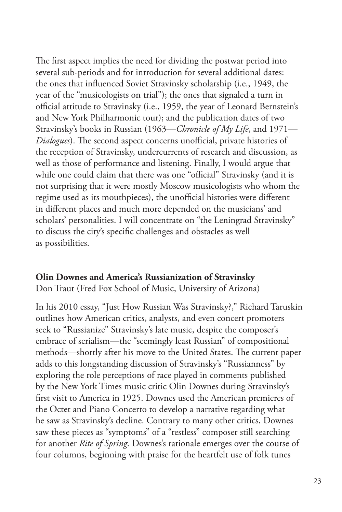The first aspect implies the need for dividing the postwar period into several sub-periods and for introduction for several additional dates: the ones that influenced Soviet Stravinsky scholarship (i.e., 1949, the year of the "musicologists on trial"); the ones that signaled a turn in official attitude to Stravinsky (i.e., 1959, the year of Leonard Bernstein's and New York Philharmonic tour); and the publication dates of two Stravinsky's books in Russian (1963—*Chronicle of My Life*, and 1971— *Dialogues*). The second aspect concerns unofficial, private histories of the reception of Stravinsky, undercurrents of research and discussion, as well as those of performance and listening. Finally, I would argue that while one could claim that there was one "official" Stravinsky (and it is not surprising that it were mostly Moscow musicologists who whom the regime used as its mouthpieces), the unofficial histories were different in different places and much more depended on the musicians' and scholars' personalities. I will concentrate on "the Leningrad Stravinsky" to discuss the city's specific challenges and obstacles as well as possibilities.

#### **Olin Downes and America's Russianization of Stravinsky**

Don Traut (Fred Fox School of Music, University of Arizona)

In his 2010 essay, "Just How Russian Was Stravinsky?," Richard Taruskin outlines how American critics, analysts, and even concert promoters seek to "Russianize" Stravinsky's late music, despite the composer's embrace of serialism—the "seemingly least Russian" of compositional methods—shortly after his move to the United States. The current paper adds to this longstanding discussion of Stravinsky's "Russianness" by exploring the role perceptions of race played in comments published by the New York Times music critic Olin Downes during Stravinsky's first visit to America in 1925. Downes used the American premieres of the Octet and Piano Concerto to develop a narrative regarding what he saw as Stravinsky's decline. Contrary to many other critics, Downes saw these pieces as "symptoms" of a "restless" composer still searching for another *Rite of Spring*. Downes's rationale emerges over the course of four columns, beginning with praise for the heartfelt use of folk tunes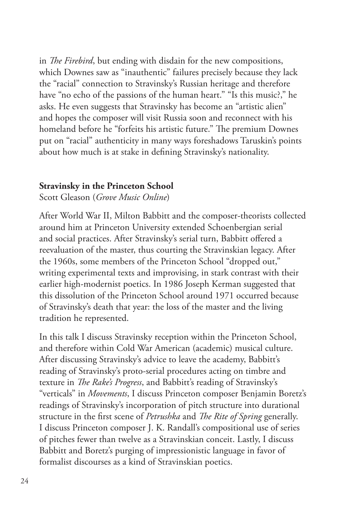in *The Firebird*, but ending with disdain for the new compositions, which Downes saw as "inauthentic" failures precisely because they lack the "racial" connection to Stravinsky's Russian heritage and therefore have "no echo of the passions of the human heart." "Is this music?," he asks. He even suggests that Stravinsky has become an "artistic alien" and hopes the composer will visit Russia soon and reconnect with his homeland before he "forfeits his artistic future." The premium Downes put on "racial" authenticity in many ways foreshadows Taruskin's points about how much is at stake in defining Stravinsky's nationality.

#### **Stravinsky in the Princeton School**

Scott Gleason (*Grove Music Online*)

After World War II, Milton Babbitt and the composer-theorists collected around him at Princeton University extended Schoenbergian serial and social practices. After Stravinsky's serial turn, Babbitt offered a reevaluation of the master, thus courting the Stravinskian legacy. After the 1960s, some members of the Princeton School "dropped out," writing experimental texts and improvising, in stark contrast with their earlier high-modernist poetics. In 1986 Joseph Kerman suggested that this dissolution of the Princeton School around 1971 occurred because of Stravinsky's death that year: the loss of the master and the living tradition he represented.

In this talk I discuss Stravinsky reception within the Princeton School, and therefore within Cold War American (academic) musical culture. After discussing Stravinsky's advice to leave the academy, Babbitt's reading of Stravinsky's proto-serial procedures acting on timbre and texture in *The Rake's Progress*, and Babbitt's reading of Stravinsky's "verticals" in *Movements*, I discuss Princeton composer Benjamin Boretz's readings of Stravinsky's incorporation of pitch structure into durational structure in the first scene of *Petrushka* and *The Rite of Spring* generally. I discuss Princeton composer J. K. Randall's compositional use of series of pitches fewer than twelve as a Stravinskian conceit. Lastly, I discuss Babbitt and Boretz's purging of impressionistic language in favor of formalist discourses as a kind of Stravinskian poetics.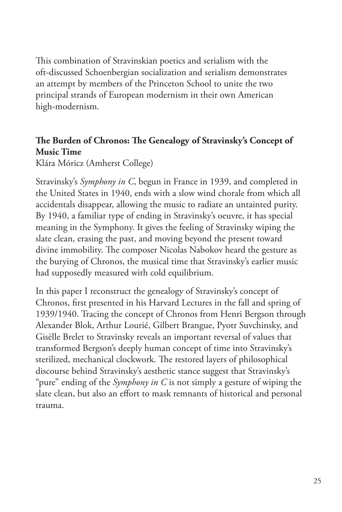This combination of Stravinskian poetics and serialism with the oft-discussed Schoenbergian socialization and serialism demonstrates an attempt by members of the Princeton School to unite the two principal strands of European modernism in their own American high-modernism.

## **The Burden of Chronos: The Genealogy of Stravinsky's Concept of Music Time**

Klára Móricz (Amherst College)

Stravinsky's *Symphony in C*, begun in France in 1939, and completed in the United States in 1940, ends with a slow wind chorale from which all accidentals disappear, allowing the music to radiate an untainted purity. By 1940, a familiar type of ending in Stravinsky's oeuvre, it has special meaning in the Symphony. It gives the feeling of Stravinsky wiping the slate clean, erasing the past, and moving beyond the present toward divine immobility. The composer Nicolas Nabokov heard the gesture as the burying of Chronos, the musical time that Stravinsky's earlier music had supposedly measured with cold equilibrium.

In this paper I reconstruct the genealogy of Stravinsky's concept of Chronos, first presented in his Harvard Lectures in the fall and spring of 1939/1940. Tracing the concept of Chronos from Henri Bergson through Alexander Blok, Arthur Lourié, Gilbert Brangue, Pyotr Suvchinsky, and Gisèlle Brelet to Stravinsky reveals an important reversal of values that transformed Bergson's deeply human concept of time into Stravinsky's sterilized, mechanical clockwork. The restored layers of philosophical discourse behind Stravinsky's aesthetic stance suggest that Stravinsky's "pure" ending of the *Symphony in C* is not simply a gesture of wiping the slate clean, but also an effort to mask remnants of historical and personal trauma.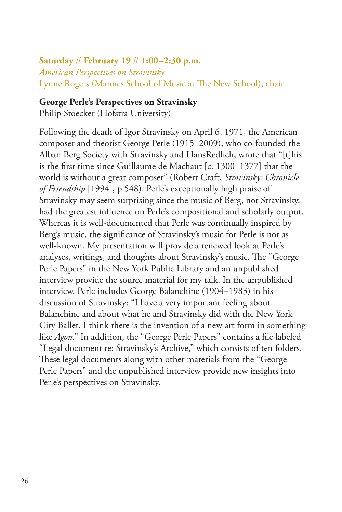#### **Saturday** // **February 19** // **1:00–2:30 p.m.**

*American Perspectives on Stravinsky* Lynne Rogers (Mannes School of Music at The New School), chair

#### **George Perle's Perspectives on Stravinsky**

Philip Stoecker (Hofstra University)

Following the death of Igor Stravinsky on April 6, 1971, the American composer and theorist George Perle (1915–2009), who co-founded the Alban Berg Society with Stravinsky and HansRedlich, wrote that "[t]his is the first time since Guillaume de Machaut [c. 1300–1377] that the world is without a great composer" (Robert Craft, *Stravinsky: Chronicle of Friendship* [1994], p.548). Perle's exceptionally high praise of Stravinsky may seem surprising since the music of Berg, not Stravinsky, had the greatest influence on Perle's compositional and scholarly output. Whereas it is well-documented that Perle was continually inspired by Berg's music, the significance of Stravinsky's music for Perle is not as well-known. My presentation will provide a renewed look at Perle's analyses, writings, and thoughts about Stravinsky's music. The "George Perle Papers" in the New York Public Library and an unpublished interview provide the source material for my talk. In the unpublished interview, Perle includes George Balanchine (1904–1983) in his discussion of Stravinsky: "I have a very important feeling about Balanchine and about what he and Stravinsky did with the New York City Ballet. I think there is the invention of a new art form in something like *Agon*." In addition, the "George Perle Papers" contains a file labeled "Legal document re: Stravinsky's Archive," which consists of ten folders. These legal documents along with other materials from the "George Perle Papers" and the unpublished interview provide new insights into Perle's perspectives on Stravinsky.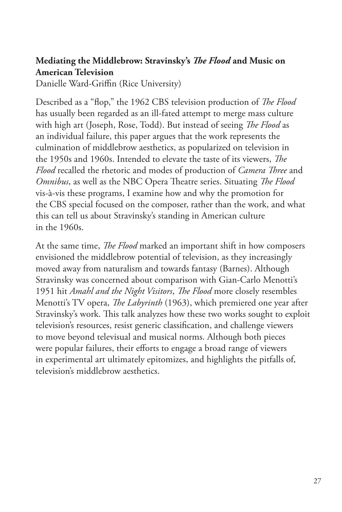## **Mediating the Middlebrow: Stravinsky's** *The Flood* **and Music on American Television**

Danielle Ward-Griffin (Rice University)

Described as a "flop," the 1962 CBS television production of *The Flood* has usually been regarded as an ill-fated attempt to merge mass culture with high art (Joseph, Rose, Todd). But instead of seeing *The Flood* as an individual failure, this paper argues that the work represents the culmination of middlebrow aesthetics, as popularized on television in the 1950s and 1960s. Intended to elevate the taste of its viewers, *The Flood* recalled the rhetoric and modes of production of *Camera Three* and *Omnibus*, as well as the NBC Opera Theatre series. Situating *The Flood* vis-à-vis these programs, I examine how and why the promotion for the CBS special focused on the composer, rather than the work, and what this can tell us about Stravinsky's standing in American culture in the 1960s.

At the same time, *The Flood* marked an important shift in how composers envisioned the middlebrow potential of television, as they increasingly moved away from naturalism and towards fantasy (Barnes). Although Stravinsky was concerned about comparison with Gian-Carlo Menotti's 1951 hit *Amahl and the Night Visitors*, *The Flood* more closely resembles Menotti's TV opera, *The Labyrinth* (1963), which premiered one year after Stravinsky's work. This talk analyzes how these two works sought to exploit television's resources, resist generic classification, and challenge viewers to move beyond televisual and musical norms. Although both pieces were popular failures, their efforts to engage a broad range of viewers in experimental art ultimately epitomizes, and highlights the pitfalls of, television's middlebrow aesthetics.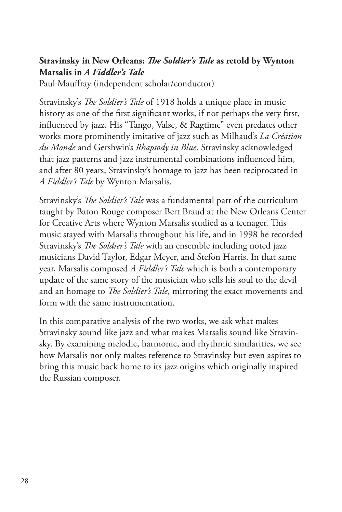## **Stravinsky in New Orleans:** *The Soldier's Tale* **as retold by Wynton Marsalis in** *A Fiddler's Tale*

Paul Mauffray (independent scholar/conductor)

Stravinsky's *The Soldier's Tale* of 1918 holds a unique place in music history as one of the first significant works, if not perhaps the very first, influenced by jazz. His "Tango, Valse, & Ragtime" even predates other works more prominently imitative of jazz such as Milhaud's *La Création du Monde* and Gershwin's *Rhapsody in Blue*. Stravinsky acknowledged that jazz patterns and jazz instrumental combinations influenced him, and after 80 years, Stravinsky's homage to jazz has been reciprocated in *A Fiddler's Tale* by Wynton Marsalis.

Stravinsky's *The Soldier's Tale* was a fundamental part of the curriculum taught by Baton Rouge composer Bert Braud at the New Orleans Center for Creative Arts where Wynton Marsalis studied as a teenager. This music stayed with Marsalis throughout his life, and in 1998 he recorded Stravinsky's *The Soldier's Tale* with an ensemble including noted jazz musicians David Taylor, Edgar Meyer, and Stefon Harris. In that same year, Marsalis composed *A Fiddler's Tale* which is both a contemporary update of the same story of the musician who sells his soul to the devil and an homage to *The Soldier's Tale*, mirroring the exact movements and form with the same instrumentation.

In this comparative analysis of the two works, we ask what makes Stravinsky sound like jazz and what makes Marsalis sound like Stravinsky. By examining melodic, harmonic, and rhythmic similarities, we see how Marsalis not only makes reference to Stravinsky but even aspires to bring this music back home to its jazz origins which originally inspired the Russian composer.